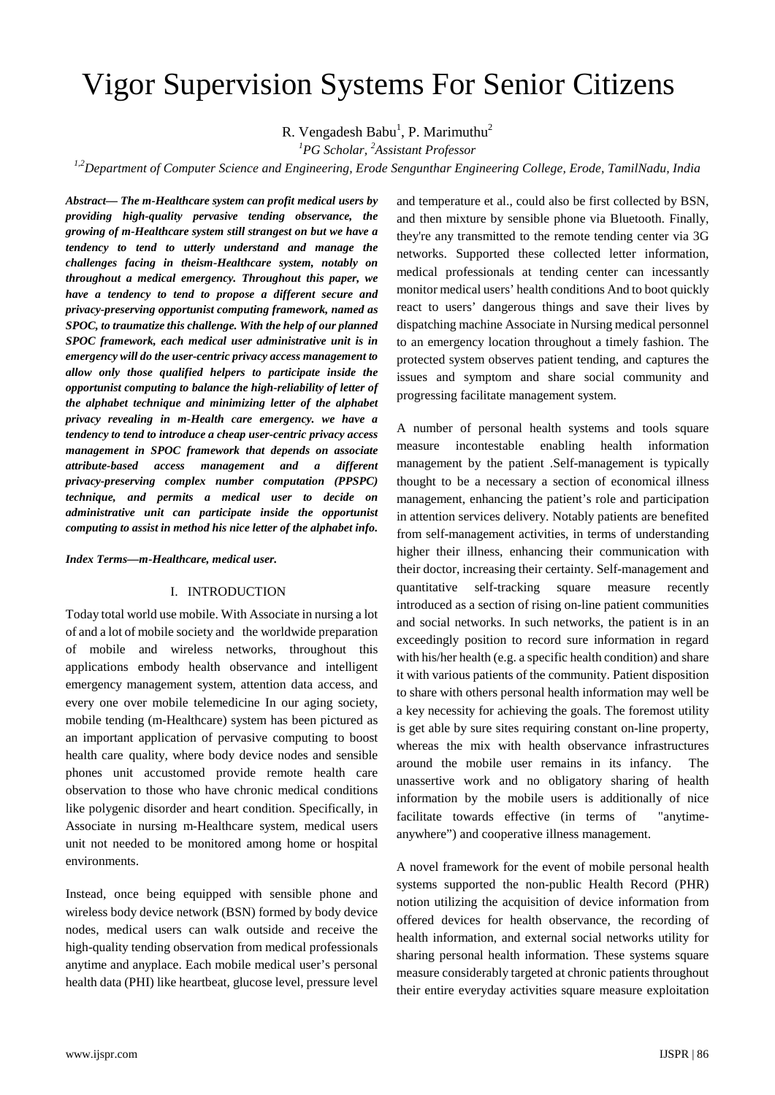# Vigor Supervision Systems For Senior Citizens

R. Vengadesh Babu<sup>1</sup>, P. Marimuthu<sup>2</sup>

*1 PG Scholar, <sup>2</sup> Assistant Professor*

*1,2Department of Computer Science and Engineering, Erode Sengunthar Engineering College, Erode, TamilNadu, India*

*Abstract— The m-Healthcare system can profit medical users by providing high-quality pervasive tending observance, the growing of m-Healthcare system still strangest on but we have a tendency to tend to utterly understand and manage the challenges facing in theism-Healthcare system, notably on throughout a medical emergency. Throughout this paper, we have a tendency to tend to propose a different secure and privacy-preserving opportunist computing framework, named as SPOC, to traumatize this challenge. With the help of our planned SPOC framework, each medical user administrative unit is in emergency will do the user-centric privacy access management to allow only those qualified helpers to participate inside the opportunist computing to balance the high-reliability of letter of the alphabet technique and minimizing letter of the alphabet privacy revealing in m-Health care emergency. we have a tendency to tend to introduce a cheap user-centric privacy access management in SPOC framework that depends on associate attribute-based access management and a different privacy-preserving complex number computation (PPSPC) technique, and permits a medical user to decide on administrative unit can participate inside the opportunist computing to assist in method his nice letter of the alphabet info.*

*Index Terms—m-Healthcare, medical user.*

## I. INTRODUCTION

Today total world use mobile. With Associate in nursing a lot of and a lot of mobile society and the worldwide preparation of mobile and wireless networks, throughout this applications embody health observance and intelligent emergency management system, attention data access, and every one over mobile telemedicine In our aging society, mobile tending (m-Healthcare) system has been pictured as an important application of pervasive computing to boost health care quality, where body device nodes and sensible phones unit accustomed provide remote health care observation to those who have chronic medical conditions like polygenic disorder and heart condition. Specifically, in Associate in nursing m-Healthcare system, medical users unit not needed to be monitored among home or hospital environments.

Instead, once being equipped with sensible phone and wireless body device network (BSN) formed by body device nodes, medical users can walk outside and receive the high-quality tending observation from medical professionals anytime and anyplace. Each mobile medical user's personal health data (PHI) like heartbeat, glucose level, pressure level and temperature et al., could also be first collected by BSN, and then mixture by sensible phone via Bluetooth. Finally, they're any transmitted to the remote tending center via 3G networks. Supported these collected letter information, medical professionals at tending center can incessantly monitor medical users' health conditions And to boot quickly react to users' dangerous things and save their lives by dispatching machine Associate in Nursing medical personnel to an emergency location throughout a timely fashion. The protected system observes patient tending, and captures the issues and symptom and share social community and progressing facilitate management system.

A number of personal health systems and tools square measure incontestable enabling health information management by the patient .Self-management is typically thought to be a necessary a section of economical illness management, enhancing the patient's role and participation in attention services delivery. Notably patients are benefited from self-management activities, in terms of understanding higher their illness, enhancing their communication with their doctor, increasing their certainty. Self-management and quantitative self-tracking square measure recently introduced as a section of rising on-line patient communities and social networks. In such networks, the patient is in an exceedingly position to record sure information in regard with his/her health (e.g. a specific health condition) and share it with various patients of the community. Patient disposition to share with others personal health information may well be a key necessity for achieving the goals. The foremost utility is get able by sure sites requiring constant on-line property, whereas the mix with health observance infrastructures around the mobile user remains in its infancy. The unassertive work and no obligatory sharing of health information by the mobile users is additionally of nice facilitate towards effective (in terms of "anytimeanywhere") and cooperative illness management.

A novel framework for the event of mobile personal health systems supported the non-public Health Record (PHR) notion utilizing the acquisition of device information from offered devices for health observance, the recording of health information, and external social networks utility for sharing personal health information. These systems square measure considerably targeted at chronic patients throughout their entire everyday activities square measure exploitation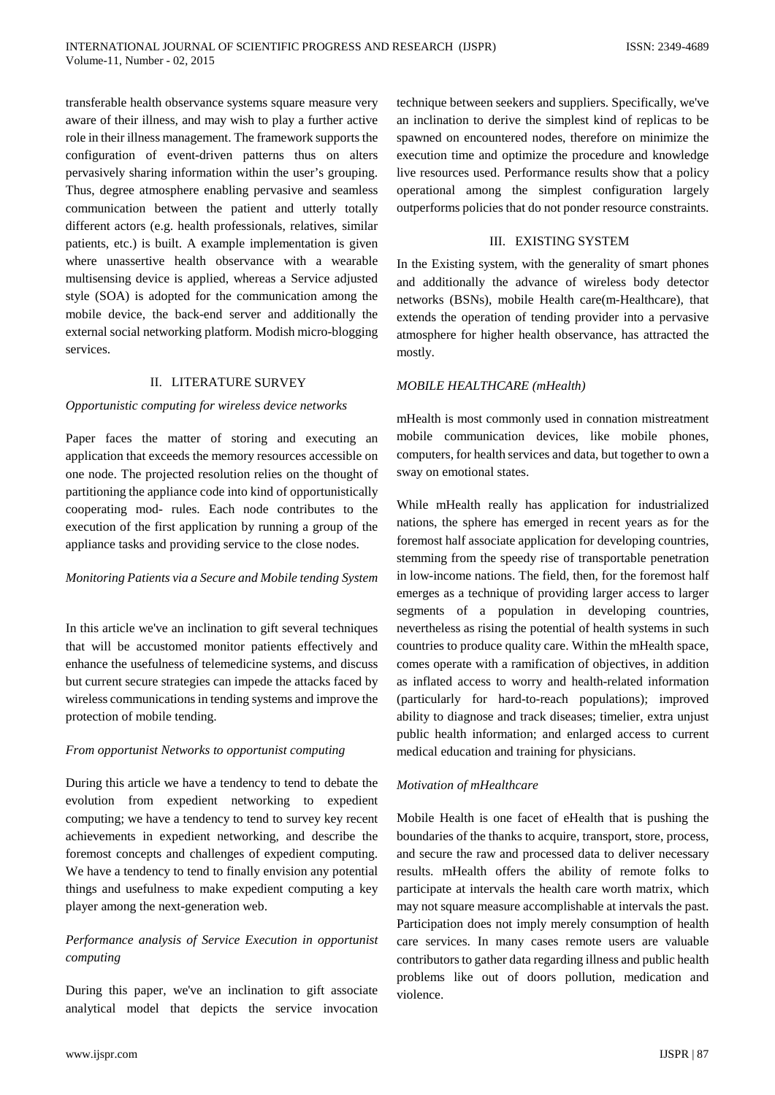transferable health observance systems square measure very aware of their illness, and may wish to play a further active role in their illness management. The framework supports the configuration of event-driven patterns thus on alters pervasively sharing information within the user's grouping. Thus, degree atmosphere enabling pervasive and seamless communication between the patient and utterly totally different actors (e.g. health professionals, relatives, similar patients, etc.) is built. A example implementation is given where unassertive health observance with a wearable multisensing device is applied, whereas a Service adjusted style (SOA) is adopted for the communication among the mobile device, the back-end server and additionally the external social networking platform. Modish micro-blogging services.

## II. LITERATURE SURVEY

#### *Opportunistic computing for wireless device networks*

Paper faces the matter of storing and executing an application that exceeds the memory resources accessible on one node. The projected resolution relies on the thought of partitioning the appliance code into kind of opportunistically cooperating mod- rules. Each node contributes to the execution of the first application by running a group of the appliance tasks and providing service to the close nodes.

#### *Monitoring Patients via a Secure and Mobile tending System*

In this article we've an inclination to gift several techniques that will be accustomed monitor patients effectively and enhance the usefulness of telemedicine systems, and discuss but current secure strategies can impede the attacks faced by wireless communications in tending systems and improve the protection of mobile tending.

## *From opportunist Networks to opportunist computing*

During this article we have a tendency to tend to debate the evolution from expedient networking to expedient computing; we have a tendency to tend to survey key recent achievements in expedient networking, and describe the foremost concepts and challenges of expedient computing. We have a tendency to tend to finally envision any potential things and usefulness to make expedient computing a key player among the next-generation web.

## *Performance analysis of Service Execution in opportunist computing*

During this paper, we've an inclination to gift associate analytical model that depicts the service invocation

technique between seekers and suppliers. Specifically, we've an inclination to derive the simplest kind of replicas to be spawned on encountered nodes, therefore on minimize the execution time and optimize the procedure and knowledge live resources used. Performance results show that a policy operational among the simplest configuration largely outperforms policies that do not ponder resource constraints.

#### III. EXISTING SYSTEM

In the Existing system, with the generality of smart phones and additionally the advance of wireless body detector networks (BSNs), mobile Health care(m-Healthcare), that extends the operation of tending provider into a pervasive atmosphere for higher health observance, has attracted the mostly.

#### *MOBILE HEALTHCARE (mHealth)*

mHealth is most commonly used in connation mistreatment mobile communication devices, like mobile phones, computers, for health services and data, but together to own a sway on emotional states.

While mHealth really has application for industrialized nations, the sphere has emerged in recent years as for the foremost half associate application for developing countries, stemming from the speedy rise of transportable penetration in low-income nations. The field, then, for the foremost half emerges as a technique of providing larger access to larger segments of a population in developing countries, nevertheless as rising the potential of health systems in such countries to produce quality care. Within the mHealth space, comes operate with a ramification of objectives, in addition as inflated access to worry and health-related information (particularly for hard-to-reach populations); improved ability to diagnose and track diseases; timelier, extra unjust public health information; and enlarged access to current medical education and training for physicians.

#### *Motivation of mHealthcare*

Mobile Health is one facet of eHealth that is pushing the boundaries of the thanks to acquire, transport, store, process, and secure the raw and processed data to deliver necessary results. mHealth offers the ability of remote folks to participate at intervals the health care worth matrix, which may not square measure accomplishable at intervals the past. Participation does not imply merely consumption of health care services. In many cases remote users are valuable contributors to gather data regarding illness and public health problems like out of doors pollution, medication and violence.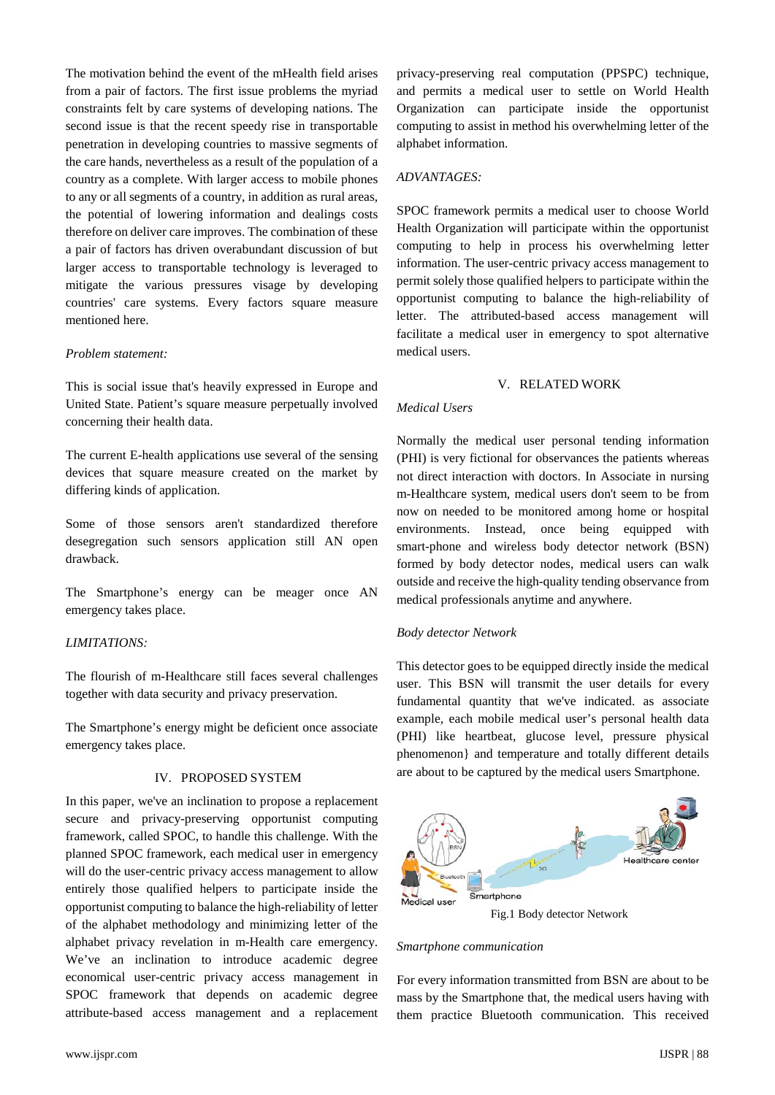The motivation behind the event of the mHealth field arises from a pair of factors. The first issue problems the myriad constraints felt by care systems of developing nations. The second issue is that the recent speedy rise in transportable penetration in developing countries to massive segments of the care hands, nevertheless as a result of the population of a country as a complete. With larger access to mobile phones to any or all segments of a country, in addition as rural areas, the potential of lowering information and dealings costs therefore on deliver care improves. The combination of these a pair of factors has driven overabundant discussion of but larger access to transportable technology is leveraged to mitigate the various pressures visage by developing countries' care systems. Every factors square measure mentioned here.

#### *Problem statement:*

This is social issue that's heavily expressed in Europe and United State. Patient's square measure perpetually involved concerning their health data.

The current E-health applications use several of the sensing devices that square measure created on the market by differing kinds of application.

Some of those sensors aren't standardized therefore desegregation such sensors application still AN open drawback.

The Smartphone's energy can be meager once AN emergency takes place.

## *LIMITATIONS:*

The flourish of m-Healthcare still faces several challenges together with data security and privacy preservation.

The Smartphone's energy might be deficient once associate emergency takes place.

## IV. PROPOSED SYSTEM

In this paper, we've an inclination to propose a replacement secure and privacy-preserving opportunist computing framework, called SPOC, to handle this challenge. With the planned SPOC framework, each medical user in emergency will do the user-centric privacy access management to allow entirely those qualified helpers to participate inside the opportunist computing to balance the high-reliability of letter of the alphabet methodology and minimizing letter of the alphabet privacy revelation in m-Health care emergency. We've an inclination to introduce academic degree economical user-centric privacy access management in SPOC framework that depends on academic degree attribute-based access management and a replacement privacy-preserving real computation (PPSPC) technique, and permits a medical user to settle on World Health Organization can participate inside the opportunist computing to assist in method his overwhelming letter of the alphabet information.

# *ADVANTAGES:*

SPOC framework permits a medical user to choose World Health Organization will participate within the opportunist computing to help in process his overwhelming letter information. The user-centric privacy access management to permit solely those qualified helpers to participate within the opportunist computing to balance the high-reliability of letter. The attributed-based access management will facilitate a medical user in emergency to spot alternative medical users.

#### V. RELATED WORK

# *Medical Users*

Normally the medical user personal tending information (PHI) is very fictional for observances the patients whereas not direct interaction with doctors. In Associate in nursing m-Healthcare system, medical users don't seem to be from now on needed to be monitored among home or hospital environments. Instead, once being equipped with smart-phone and wireless body detector network (BSN) formed by body detector nodes, medical users can walk outside and receive the high-quality tending observance from medical professionals anytime and anywhere.

#### *Body detector Network*

This detector goes to be equipped directly inside the medical user. This BSN will transmit the user details for every fundamental quantity that we've indicated. as associate example, each mobile medical user's personal health data (PHI) like heartbeat, glucose level, pressure physical phenomenon} and temperature and totally different details are about to be captured by the medical users Smartphone.



Fig.1 Body detector Network

#### *Smartphone communication*

For every information transmitted from BSN are about to be mass by the Smartphone that, the medical users having with them practice Bluetooth communication. This received